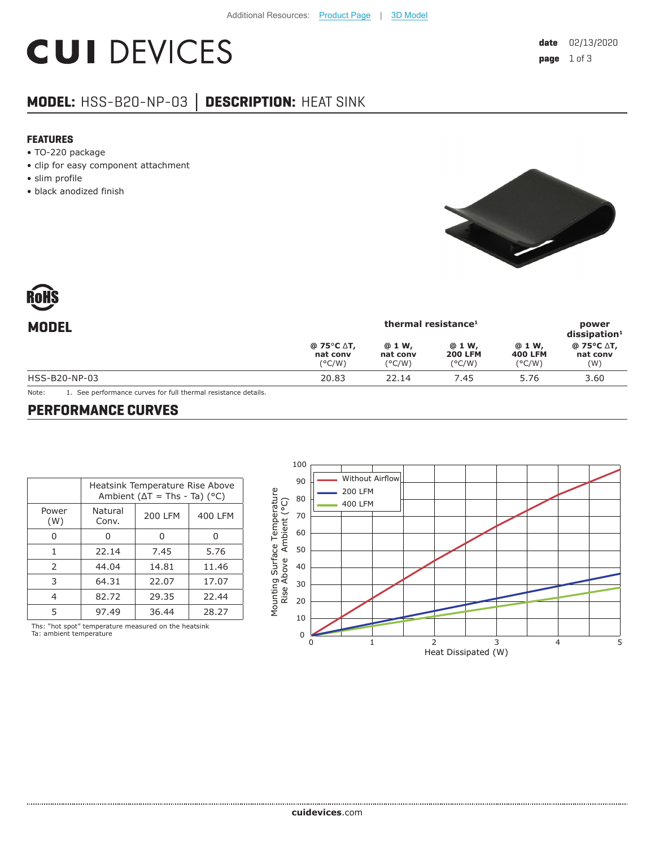# **CUI DEVICES**

## **MODEL:** HSS-B20-NP-03 **│ DESCRIPTION:** HEAT SINK

#### **FEATURES**

- TO-220 package
- clip for easy component attachment
- slim profile
- black anodized finish



| <b>MODEL</b>  |                                           | power<br>$dis$ sipation <sup>1</sup>  |                                             |                                             |                               |
|---------------|-------------------------------------------|---------------------------------------|---------------------------------------------|---------------------------------------------|-------------------------------|
|               | @ 75°C ∆T,<br>nat conv<br>$(^{\circ}C/W)$ | @ 1 W,<br>nat conv<br>$(^{\circ}C/W)$ | @ 1 W,<br><b>200 LFM</b><br>$(^{\circ}C/W)$ | @ 1 W,<br><b>400 LFM</b><br>$(^{\circ}C/W)$ | @ 75°C ∆T,<br>nat conv<br>(W) |
| HSS-B20-NP-03 | 20.83                                     | 22.14                                 | 7.45                                        | 5.76                                        | 3.60                          |

Note: 1. See performance curves for full thermal resistance details.

#### **PERFORMANCE CURVES**

|               | Heatsink Temperature Rise Above<br>Ambient ( $\Delta T$ = Ths - Ta) (°C) |                |         |  |
|---------------|--------------------------------------------------------------------------|----------------|---------|--|
| Power<br>(W)  | Natural<br>Conv.                                                         | <b>200 LFM</b> | 400 LFM |  |
|               |                                                                          |                |         |  |
| 1             | 22.14                                                                    | 7.45           | 5.76    |  |
| $\mathcal{P}$ | 44.04                                                                    | 14.81          | 11.46   |  |
| 3             | 64.31                                                                    | 22.07          | 17.07   |  |
| 4             | 82.72                                                                    | 29.35          | 22.44   |  |
| 5             | 97.49                                                                    | 36.44          | 28.27   |  |

Ths: "hot spot" temperature measured on the heatsink Ta: ambient temperature

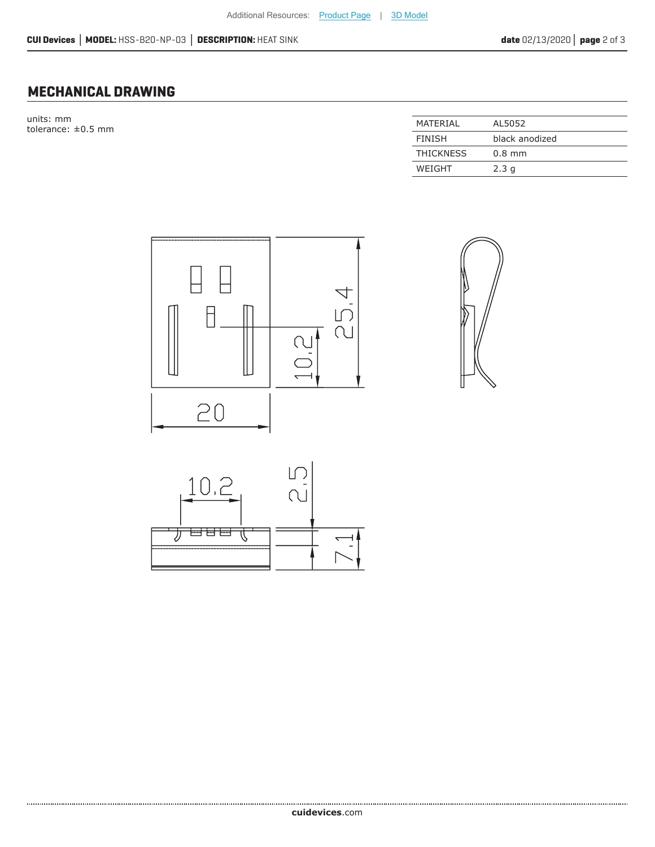### **MECHANICAL DRAWING**

units: mm  $t$ olerance:  $\pm 0.5$  mm

| MATFRIAI         | AL5052         |
|------------------|----------------|
|                  |                |
| <b>FINISH</b>    | black anodized |
|                  |                |
| <b>THICKNESS</b> | $0.8$ mm       |
|                  |                |
| WEIGHT           | 2.3q           |